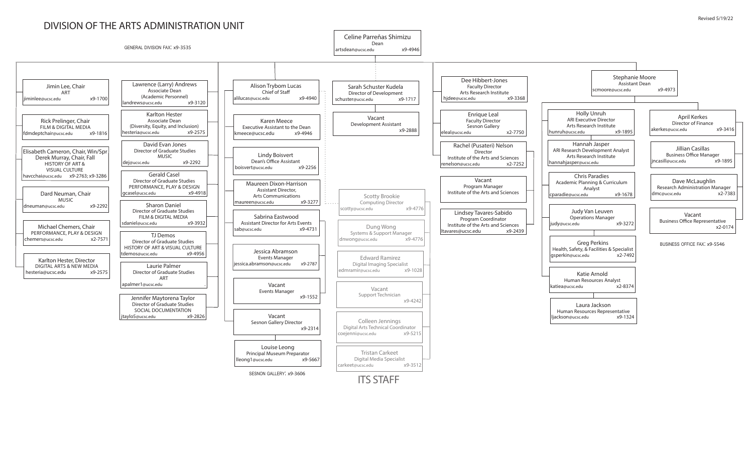## DIVISION OF THE ARTS ADMINISTRATION UNIT